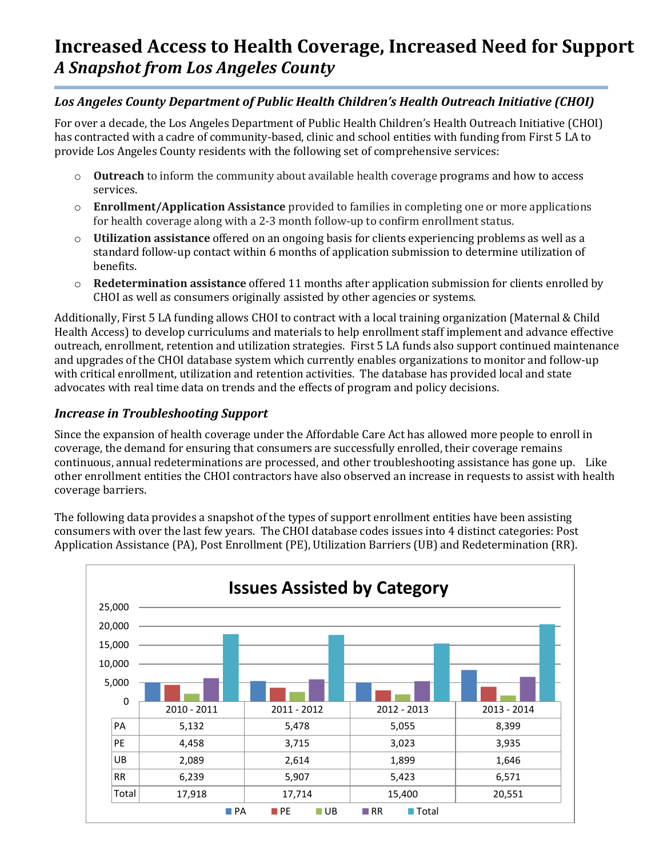# *Los Angeles County Department of Public Health Children's Health Outreach Initiative (CHOI)*

For over a decade, the Los Angeles Department of Public Health Children's Health Outreach Initiative (CHOI) has contracted with a cadre of community-based, clinic and school entities with funding from First 5 LA to provide Los Angeles County residents with the following set of comprehensive services:

- o **Outreach** to inform the community about available health coverage programs and how to access services.
- o **Enrollment/Application Assistance** provided to families in completing one or more applications for health coverage along with a 2-3 month follow-up to confirm enrollment status.
- o **Utilization assistance** offered on an ongoing basis for clients experiencing problems as well as a standard follow-up contact within 6 months of application submission to determine utilization of benefits.
- o **Redetermination assistance** offered 11 months after application submission for clients enrolled by CHOI as well as consumers originally assisted by other agencies or systems.

Additionally, First 5 LA funding allows CHOI to contract with a local training organization (Maternal & Child Health Access) to develop curriculums and materials to help enrollment staff implement and advance effective outreach, enrollment, retention and utilization strategies. First 5 LA funds also support continued maintenance and upgrades of the CHOI database system which currently enables organizations to monitor and follow-up with critical enrollment, utilization and retention activities. The database has provided local and state advocates with real time data on trends and the effects of program and policy decisions.

## *Increase in Troubleshooting Support*

Since the expansion of health coverage under the Affordable Care Act has allowed more people to enroll in coverage, the demand for ensuring that consumers are successfully enrolled, their coverage remains continuous, annual redeterminations are processed, and other troubleshooting assistance has gone up. Like other enrollment entities the CHOI contractors have also observed an increase in requests to assist with health coverage barriers.

The following data provides a snapshot of the types of support enrollment entities have been assisting consumers with over the last few years. The CHOI database codes issues into 4 distinct categories: Post Application Assistance (PA), Post Enrollment (PE), Utilization Barriers (UB) and Redetermination (RR).

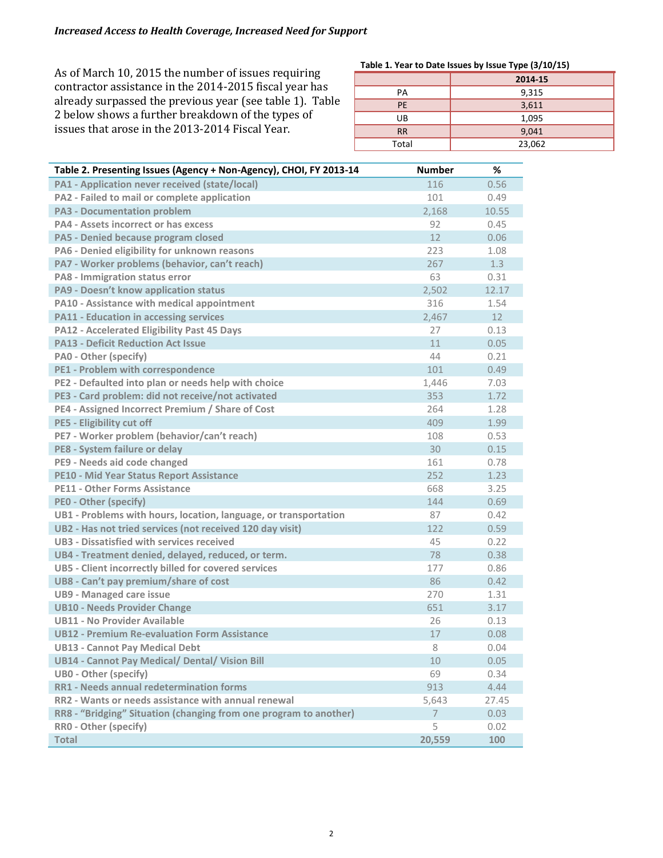As of March 10, 2015 the number of issues requiring contractor assistance in the 2014-2015 fiscal year has already surpassed the previous year (see table 1). Table 2 below shows a further breakdown of the types of issues that arose in the 2013-2014 Fiscal Year.

#### **Table 1. Year to Date Issues by Issue Type (3/10/15)**

|           | 2014-15 |  |
|-----------|---------|--|
| PA        | 9,315   |  |
| <b>PE</b> | 3,611   |  |
| UB        | 1,095   |  |
| <b>RR</b> | 9,041   |  |
| Total     | 23,062  |  |

| PA1 - Application never received (state/local)<br>116<br>0.56<br>PA2 - Failed to mail or complete application<br>101<br>0.49<br><b>PA3 - Documentation problem</b><br>2,168<br>10.55<br><b>PA4 - Assets incorrect or has excess</b><br>92<br>0.45<br>12<br>0.06<br><b>PA5 - Denied because program closed</b><br>PA6 - Denied eligibility for unknown reasons<br>223<br>1.08<br>PA7 - Worker problems (behavior, can't reach)<br>267<br>1.3<br>63<br>PA8 - Immigration status error<br>0.31<br>PA9 - Doesn't know application status<br>2,502<br>12.17<br><b>PA10 - Assistance with medical appointment</b><br>316<br>1.54<br><b>PA11 - Education in accessing services</b><br>12 <sup>2</sup><br>2,467<br><b>PA12 - Accelerated Eligibility Past 45 Days</b><br>27<br>0.13<br><b>PA13 - Deficit Reduction Act Issue</b><br>11<br>0.05<br>PA0 - Other (specify)<br>44<br>0.21<br><b>PE1 - Problem with correspondence</b><br>101<br>0.49<br>PE2 - Defaulted into plan or needs help with choice<br>1,446<br>7.03<br>PE3 - Card problem: did not receive/not activated<br>353<br>1.72<br>PE4 - Assigned Incorrect Premium / Share of Cost<br>264<br>1.28<br><b>PE5 - Eligibility cut off</b><br>409<br>1.99<br>PE7 - Worker problem (behavior/can't reach)<br>108<br>0.53<br>30<br>PE8 - System failure or delay<br>0.15<br>PE9 - Needs aid code changed<br>161<br>0.78<br>252<br><b>PE10 - Mid Year Status Report Assistance</b><br>1.23<br><b>PE11 - Other Forms Assistance</b><br>668<br>3.25<br><b>PEO - Other (specify)</b><br>144<br>0.69<br>87<br>UB1 - Problems with hours, location, language, or transportation<br>0.42<br>UB2 - Has not tried services (not received 120 day visit)<br>122<br>0.59<br>UB3 - Dissatisfied with services received<br>45<br>0.22<br>UB4 - Treatment denied, delayed, reduced, or term.<br>78<br>0.38<br>UB5 - Client incorrectly billed for covered services<br>177<br>0.86<br>86<br>UB8 - Can't pay premium/share of cost<br>0.42 |
|---------------------------------------------------------------------------------------------------------------------------------------------------------------------------------------------------------------------------------------------------------------------------------------------------------------------------------------------------------------------------------------------------------------------------------------------------------------------------------------------------------------------------------------------------------------------------------------------------------------------------------------------------------------------------------------------------------------------------------------------------------------------------------------------------------------------------------------------------------------------------------------------------------------------------------------------------------------------------------------------------------------------------------------------------------------------------------------------------------------------------------------------------------------------------------------------------------------------------------------------------------------------------------------------------------------------------------------------------------------------------------------------------------------------------------------------------------------------------------------------------------------------------------------------------------------------------------------------------------------------------------------------------------------------------------------------------------------------------------------------------------------------------------------------------------------------------------------------------------------------------------------------------------------------------------------------------------------------------|
|                                                                                                                                                                                                                                                                                                                                                                                                                                                                                                                                                                                                                                                                                                                                                                                                                                                                                                                                                                                                                                                                                                                                                                                                                                                                                                                                                                                                                                                                                                                                                                                                                                                                                                                                                                                                                                                                                                                                                                           |
|                                                                                                                                                                                                                                                                                                                                                                                                                                                                                                                                                                                                                                                                                                                                                                                                                                                                                                                                                                                                                                                                                                                                                                                                                                                                                                                                                                                                                                                                                                                                                                                                                                                                                                                                                                                                                                                                                                                                                                           |
|                                                                                                                                                                                                                                                                                                                                                                                                                                                                                                                                                                                                                                                                                                                                                                                                                                                                                                                                                                                                                                                                                                                                                                                                                                                                                                                                                                                                                                                                                                                                                                                                                                                                                                                                                                                                                                                                                                                                                                           |
|                                                                                                                                                                                                                                                                                                                                                                                                                                                                                                                                                                                                                                                                                                                                                                                                                                                                                                                                                                                                                                                                                                                                                                                                                                                                                                                                                                                                                                                                                                                                                                                                                                                                                                                                                                                                                                                                                                                                                                           |
|                                                                                                                                                                                                                                                                                                                                                                                                                                                                                                                                                                                                                                                                                                                                                                                                                                                                                                                                                                                                                                                                                                                                                                                                                                                                                                                                                                                                                                                                                                                                                                                                                                                                                                                                                                                                                                                                                                                                                                           |
|                                                                                                                                                                                                                                                                                                                                                                                                                                                                                                                                                                                                                                                                                                                                                                                                                                                                                                                                                                                                                                                                                                                                                                                                                                                                                                                                                                                                                                                                                                                                                                                                                                                                                                                                                                                                                                                                                                                                                                           |
|                                                                                                                                                                                                                                                                                                                                                                                                                                                                                                                                                                                                                                                                                                                                                                                                                                                                                                                                                                                                                                                                                                                                                                                                                                                                                                                                                                                                                                                                                                                                                                                                                                                                                                                                                                                                                                                                                                                                                                           |
|                                                                                                                                                                                                                                                                                                                                                                                                                                                                                                                                                                                                                                                                                                                                                                                                                                                                                                                                                                                                                                                                                                                                                                                                                                                                                                                                                                                                                                                                                                                                                                                                                                                                                                                                                                                                                                                                                                                                                                           |
|                                                                                                                                                                                                                                                                                                                                                                                                                                                                                                                                                                                                                                                                                                                                                                                                                                                                                                                                                                                                                                                                                                                                                                                                                                                                                                                                                                                                                                                                                                                                                                                                                                                                                                                                                                                                                                                                                                                                                                           |
|                                                                                                                                                                                                                                                                                                                                                                                                                                                                                                                                                                                                                                                                                                                                                                                                                                                                                                                                                                                                                                                                                                                                                                                                                                                                                                                                                                                                                                                                                                                                                                                                                                                                                                                                                                                                                                                                                                                                                                           |
|                                                                                                                                                                                                                                                                                                                                                                                                                                                                                                                                                                                                                                                                                                                                                                                                                                                                                                                                                                                                                                                                                                                                                                                                                                                                                                                                                                                                                                                                                                                                                                                                                                                                                                                                                                                                                                                                                                                                                                           |
|                                                                                                                                                                                                                                                                                                                                                                                                                                                                                                                                                                                                                                                                                                                                                                                                                                                                                                                                                                                                                                                                                                                                                                                                                                                                                                                                                                                                                                                                                                                                                                                                                                                                                                                                                                                                                                                                                                                                                                           |
|                                                                                                                                                                                                                                                                                                                                                                                                                                                                                                                                                                                                                                                                                                                                                                                                                                                                                                                                                                                                                                                                                                                                                                                                                                                                                                                                                                                                                                                                                                                                                                                                                                                                                                                                                                                                                                                                                                                                                                           |
|                                                                                                                                                                                                                                                                                                                                                                                                                                                                                                                                                                                                                                                                                                                                                                                                                                                                                                                                                                                                                                                                                                                                                                                                                                                                                                                                                                                                                                                                                                                                                                                                                                                                                                                                                                                                                                                                                                                                                                           |
|                                                                                                                                                                                                                                                                                                                                                                                                                                                                                                                                                                                                                                                                                                                                                                                                                                                                                                                                                                                                                                                                                                                                                                                                                                                                                                                                                                                                                                                                                                                                                                                                                                                                                                                                                                                                                                                                                                                                                                           |
|                                                                                                                                                                                                                                                                                                                                                                                                                                                                                                                                                                                                                                                                                                                                                                                                                                                                                                                                                                                                                                                                                                                                                                                                                                                                                                                                                                                                                                                                                                                                                                                                                                                                                                                                                                                                                                                                                                                                                                           |
|                                                                                                                                                                                                                                                                                                                                                                                                                                                                                                                                                                                                                                                                                                                                                                                                                                                                                                                                                                                                                                                                                                                                                                                                                                                                                                                                                                                                                                                                                                                                                                                                                                                                                                                                                                                                                                                                                                                                                                           |
|                                                                                                                                                                                                                                                                                                                                                                                                                                                                                                                                                                                                                                                                                                                                                                                                                                                                                                                                                                                                                                                                                                                                                                                                                                                                                                                                                                                                                                                                                                                                                                                                                                                                                                                                                                                                                                                                                                                                                                           |
|                                                                                                                                                                                                                                                                                                                                                                                                                                                                                                                                                                                                                                                                                                                                                                                                                                                                                                                                                                                                                                                                                                                                                                                                                                                                                                                                                                                                                                                                                                                                                                                                                                                                                                                                                                                                                                                                                                                                                                           |
|                                                                                                                                                                                                                                                                                                                                                                                                                                                                                                                                                                                                                                                                                                                                                                                                                                                                                                                                                                                                                                                                                                                                                                                                                                                                                                                                                                                                                                                                                                                                                                                                                                                                                                                                                                                                                                                                                                                                                                           |
|                                                                                                                                                                                                                                                                                                                                                                                                                                                                                                                                                                                                                                                                                                                                                                                                                                                                                                                                                                                                                                                                                                                                                                                                                                                                                                                                                                                                                                                                                                                                                                                                                                                                                                                                                                                                                                                                                                                                                                           |
|                                                                                                                                                                                                                                                                                                                                                                                                                                                                                                                                                                                                                                                                                                                                                                                                                                                                                                                                                                                                                                                                                                                                                                                                                                                                                                                                                                                                                                                                                                                                                                                                                                                                                                                                                                                                                                                                                                                                                                           |
|                                                                                                                                                                                                                                                                                                                                                                                                                                                                                                                                                                                                                                                                                                                                                                                                                                                                                                                                                                                                                                                                                                                                                                                                                                                                                                                                                                                                                                                                                                                                                                                                                                                                                                                                                                                                                                                                                                                                                                           |
|                                                                                                                                                                                                                                                                                                                                                                                                                                                                                                                                                                                                                                                                                                                                                                                                                                                                                                                                                                                                                                                                                                                                                                                                                                                                                                                                                                                                                                                                                                                                                                                                                                                                                                                                                                                                                                                                                                                                                                           |
|                                                                                                                                                                                                                                                                                                                                                                                                                                                                                                                                                                                                                                                                                                                                                                                                                                                                                                                                                                                                                                                                                                                                                                                                                                                                                                                                                                                                                                                                                                                                                                                                                                                                                                                                                                                                                                                                                                                                                                           |
|                                                                                                                                                                                                                                                                                                                                                                                                                                                                                                                                                                                                                                                                                                                                                                                                                                                                                                                                                                                                                                                                                                                                                                                                                                                                                                                                                                                                                                                                                                                                                                                                                                                                                                                                                                                                                                                                                                                                                                           |
|                                                                                                                                                                                                                                                                                                                                                                                                                                                                                                                                                                                                                                                                                                                                                                                                                                                                                                                                                                                                                                                                                                                                                                                                                                                                                                                                                                                                                                                                                                                                                                                                                                                                                                                                                                                                                                                                                                                                                                           |
|                                                                                                                                                                                                                                                                                                                                                                                                                                                                                                                                                                                                                                                                                                                                                                                                                                                                                                                                                                                                                                                                                                                                                                                                                                                                                                                                                                                                                                                                                                                                                                                                                                                                                                                                                                                                                                                                                                                                                                           |
|                                                                                                                                                                                                                                                                                                                                                                                                                                                                                                                                                                                                                                                                                                                                                                                                                                                                                                                                                                                                                                                                                                                                                                                                                                                                                                                                                                                                                                                                                                                                                                                                                                                                                                                                                                                                                                                                                                                                                                           |
|                                                                                                                                                                                                                                                                                                                                                                                                                                                                                                                                                                                                                                                                                                                                                                                                                                                                                                                                                                                                                                                                                                                                                                                                                                                                                                                                                                                                                                                                                                                                                                                                                                                                                                                                                                                                                                                                                                                                                                           |
|                                                                                                                                                                                                                                                                                                                                                                                                                                                                                                                                                                                                                                                                                                                                                                                                                                                                                                                                                                                                                                                                                                                                                                                                                                                                                                                                                                                                                                                                                                                                                                                                                                                                                                                                                                                                                                                                                                                                                                           |
| <b>UB9 - Managed care issue</b><br>270<br>1.31                                                                                                                                                                                                                                                                                                                                                                                                                                                                                                                                                                                                                                                                                                                                                                                                                                                                                                                                                                                                                                                                                                                                                                                                                                                                                                                                                                                                                                                                                                                                                                                                                                                                                                                                                                                                                                                                                                                            |
| <b>UB10 - Needs Provider Change</b><br>651<br>3.17                                                                                                                                                                                                                                                                                                                                                                                                                                                                                                                                                                                                                                                                                                                                                                                                                                                                                                                                                                                                                                                                                                                                                                                                                                                                                                                                                                                                                                                                                                                                                                                                                                                                                                                                                                                                                                                                                                                        |
| <b>UB11 - No Provider Available</b><br>26<br>0.13                                                                                                                                                                                                                                                                                                                                                                                                                                                                                                                                                                                                                                                                                                                                                                                                                                                                                                                                                                                                                                                                                                                                                                                                                                                                                                                                                                                                                                                                                                                                                                                                                                                                                                                                                                                                                                                                                                                         |
| <b>UB12 - Premium Re-evaluation Form Assistance</b><br>17<br>0.08                                                                                                                                                                                                                                                                                                                                                                                                                                                                                                                                                                                                                                                                                                                                                                                                                                                                                                                                                                                                                                                                                                                                                                                                                                                                                                                                                                                                                                                                                                                                                                                                                                                                                                                                                                                                                                                                                                         |
| 8<br><b>UB13 - Cannot Pay Medical Debt</b><br>0.04                                                                                                                                                                                                                                                                                                                                                                                                                                                                                                                                                                                                                                                                                                                                                                                                                                                                                                                                                                                                                                                                                                                                                                                                                                                                                                                                                                                                                                                                                                                                                                                                                                                                                                                                                                                                                                                                                                                        |
| <b>UB14 - Cannot Pay Medical/ Dental/ Vision Bill</b><br>10<br>0.05                                                                                                                                                                                                                                                                                                                                                                                                                                                                                                                                                                                                                                                                                                                                                                                                                                                                                                                                                                                                                                                                                                                                                                                                                                                                                                                                                                                                                                                                                                                                                                                                                                                                                                                                                                                                                                                                                                       |
| UB0 - Other (specify)<br>69<br>0.34                                                                                                                                                                                                                                                                                                                                                                                                                                                                                                                                                                                                                                                                                                                                                                                                                                                                                                                                                                                                                                                                                                                                                                                                                                                                                                                                                                                                                                                                                                                                                                                                                                                                                                                                                                                                                                                                                                                                       |
| <b>RR1 - Needs annual redetermination forms</b><br>913<br>4.44                                                                                                                                                                                                                                                                                                                                                                                                                                                                                                                                                                                                                                                                                                                                                                                                                                                                                                                                                                                                                                                                                                                                                                                                                                                                                                                                                                                                                                                                                                                                                                                                                                                                                                                                                                                                                                                                                                            |
| RR2 - Wants or needs assistance with annual renewal<br>5,643<br>27.45                                                                                                                                                                                                                                                                                                                                                                                                                                                                                                                                                                                                                                                                                                                                                                                                                                                                                                                                                                                                                                                                                                                                                                                                                                                                                                                                                                                                                                                                                                                                                                                                                                                                                                                                                                                                                                                                                                     |
| RR8 - "Bridging" Situation (changing from one program to another)<br>0.03<br>7                                                                                                                                                                                                                                                                                                                                                                                                                                                                                                                                                                                                                                                                                                                                                                                                                                                                                                                                                                                                                                                                                                                                                                                                                                                                                                                                                                                                                                                                                                                                                                                                                                                                                                                                                                                                                                                                                            |
| 5<br>RR0 - Other (specify)<br>0.02                                                                                                                                                                                                                                                                                                                                                                                                                                                                                                                                                                                                                                                                                                                                                                                                                                                                                                                                                                                                                                                                                                                                                                                                                                                                                                                                                                                                                                                                                                                                                                                                                                                                                                                                                                                                                                                                                                                                        |
| Total<br>20,559<br>100                                                                                                                                                                                                                                                                                                                                                                                                                                                                                                                                                                                                                                                                                                                                                                                                                                                                                                                                                                                                                                                                                                                                                                                                                                                                                                                                                                                                                                                                                                                                                                                                                                                                                                                                                                                                                                                                                                                                                    |